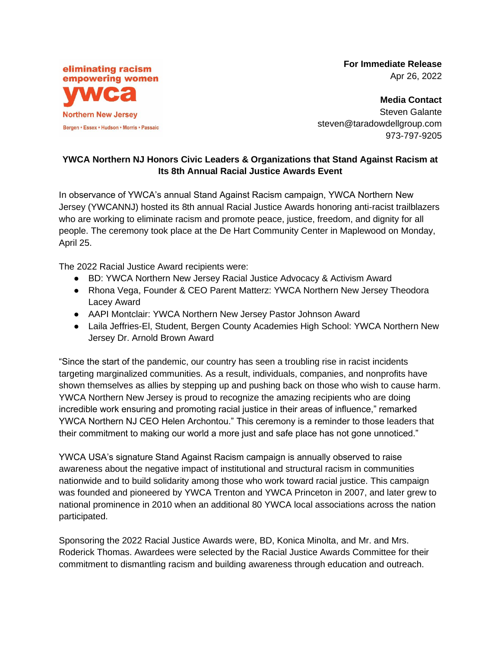eliminating racism empowering women **Northern New Jersey** Bergen • Essex • Hudson • Morris • Passaic **For Immediate Release**  Apr 26, 2022

**Media Contact**  Steven Galante steven@taradowdellgroup.com 973-797-9205

## **YWCA Northern NJ Honors Civic Leaders & Organizations that Stand Against Racism at Its 8th Annual Racial Justice Awards Event**

In observance of YWCA's annual Stand Against Racism campaign, YWCA Northern New Jersey (YWCANNJ) hosted its 8th annual Racial Justice Awards honoring anti-racist trailblazers who are working to eliminate racism and promote peace, justice, freedom, and dignity for all people. The ceremony took place at the De Hart Community Center in Maplewood on Monday, April 25.

The 2022 Racial Justice Award recipients were:

- BD: YWCA Northern New Jersey Racial Justice Advocacy & Activism Award
- Rhona Vega, Founder & CEO Parent Matterz: YWCA Northern New Jersey Theodora Lacey Award
- AAPI Montclair: YWCA Northern New Jersey Pastor Johnson Award
- Laila Jeffries-El, Student, Bergen County Academies High School: YWCA Northern New Jersey Dr. Arnold Brown Award

"Since the start of the pandemic, our country has seen a troubling rise in racist incidents targeting marginalized communities. As a result, individuals, companies, and nonprofits have shown themselves as allies by stepping up and pushing back on those who wish to cause harm. YWCA Northern New Jersey is proud to recognize the amazing recipients who are doing incredible work ensuring and promoting racial justice in their areas of influence," remarked YWCA Northern NJ CEO Helen Archontou." This ceremony is a reminder to those leaders that their commitment to making our world a more just and safe place has not gone unnoticed."

YWCA USA's signature Stand Against Racism campaign is annually observed to raise awareness about the negative impact of institutional and structural racism in communities nationwide and to build solidarity among those who work toward racial justice. This campaign was founded and pioneered by YWCA Trenton and YWCA Princeton in 2007, and later grew to national prominence in 2010 when an additional 80 YWCA local associations across the nation participated.

Sponsoring the 2022 Racial Justice Awards were, BD, Konica Minolta, and Mr. and Mrs. Roderick Thomas. Awardees were selected by the Racial Justice Awards Committee for their commitment to dismantling racism and building awareness through education and outreach.